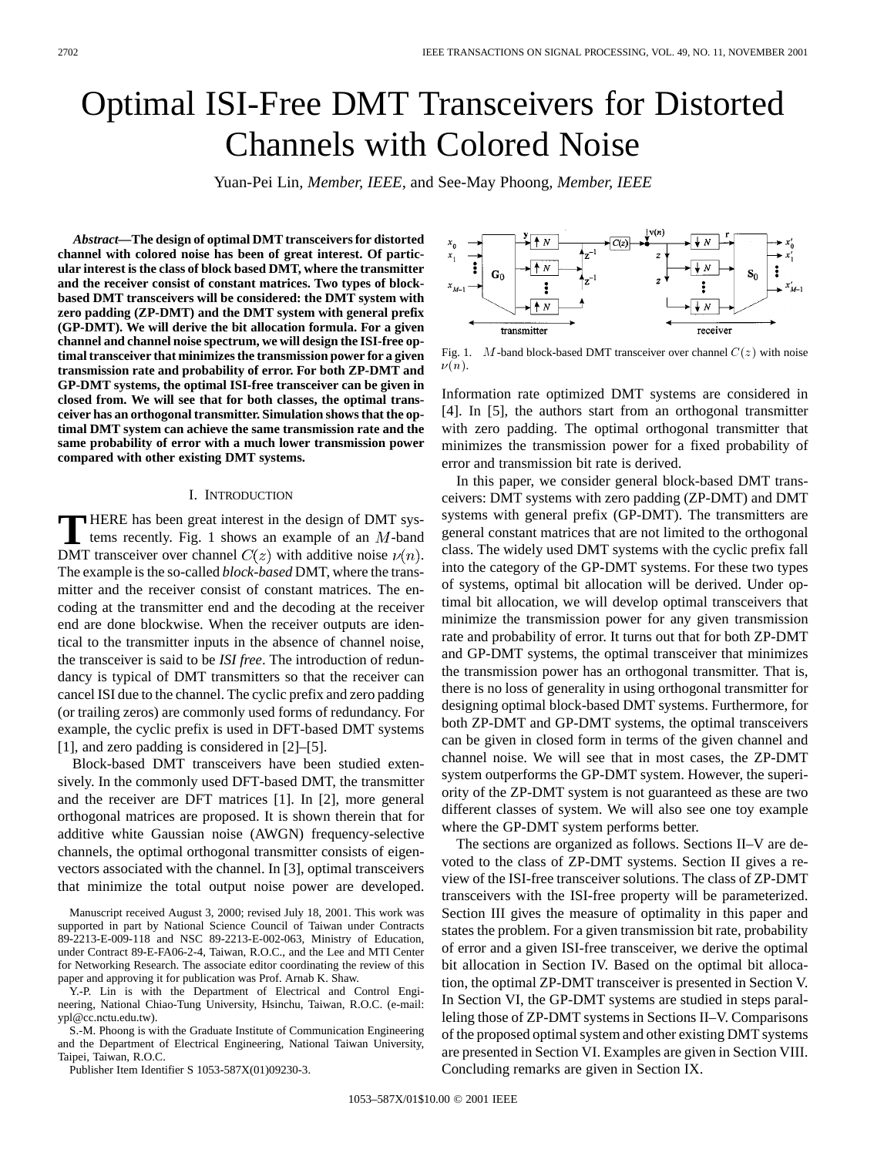# Optimal ISI-Free DMT Transceivers for Distorted Channels with Colored Noise

Yuan-Pei Lin*, Member, IEEE,* and See-May Phoong*, Member, IEEE*

*Abstract—***The design of optimal DMT transceivers for distorted channel with colored noise has been of great interest. Of particular interest is the class of block based DMT, where the transmitter and the receiver consist of constant matrices. Two types of blockbased DMT transceivers will be considered: the DMT system with zero padding (ZP-DMT) and the DMT system with general prefix (GP-DMT). We will derive the bit allocation formula. For a given channel and channel noise spectrum, we will design the ISI-free optimal transceiver that minimizes the transmission power for a given transmission rate and probability of error. For both ZP-DMT and GP-DMT systems, the optimal ISI-free transceiver can be given in closed from. We will see that for both classes, the optimal transceiver has an orthogonal transmitter. Simulation shows that the optimal DMT system can achieve the same transmission rate and the same probability of error with a much lower transmission power compared with other existing DMT systems.**

#### I. INTRODUCTION

**T** HERE has been great interest in the design of DMT systems recently. Fig. 1 shows an example of an  $M$ -band DMT transceiver over channel  $C(z)$  with additive noise  $\nu(n)$ . The example is the so-called *block-based* DMT, where the transmitter and the receiver consist of constant matrices. The encoding at the transmitter end and the decoding at the receiver end are done blockwise. When the receiver outputs are identical to the transmitter inputs in the absence of channel noise, the transceiver is said to be *ISI free*. The introduction of redundancy is typical of DMT transmitters so that the receiver can cancel ISI due to the channel. The cyclic prefix and zero padding (or trailing zeros) are commonly used forms of redundancy. For example, the cyclic prefix is used in DFT-based DMT systems [1], and zero padding is considered in [2]–[5].

Block-based DMT transceivers have been studied extensively. In the commonly used DFT-based DMT, the transmitter and the receiver are DFT matrices [1]. In [2], more general orthogonal matrices are proposed. It is shown therein that for additive white Gaussian noise (AWGN) frequency-selective channels, the optimal orthogonal transmitter consists of eigenvectors associated with the channel. In [3], optimal transceivers that minimize the total output noise power are developed.

Manuscript received August 3, 2000; revised July 18, 2001. This work was supported in part by National Science Council of Taiwan under Contracts 89-2213-E-009-118 and NSC 89-2213-E-002-063, Ministry of Education, under Contract 89-E-FA06-2-4, Taiwan, R.O.C., and the Lee and MTI Center for Networking Research. The associate editor coordinating the review of this paper and approving it for publication was Prof. Arnab K. Shaw.

Y.-P. Lin is with the Department of Electrical and Control Engineering, National Chiao-Tung University, Hsinchu, Taiwan, R.O.C. (e-mail: ypl@cc.nctu.edu.tw).

S.-M. Phoong is with the Graduate Institute of Communication Engineering and the Department of Electrical Engineering, National Taiwan University, Taipei, Taiwan, R.O.C.

Publisher Item Identifier S 1053-587X(01)09230-3.

 $|v(n)|$  $C(z)$  $\boldsymbol{N}$  $\downarrow$  N  $\lambda$ i  $G_0$ ì ł  $\downarrow$  N  $^*N$ transmitter receiver

Fig. 1. M-band block-based DMT transceiver over channel  $C(z)$  with noise  $\nu(n)$ .

Information rate optimized DMT systems are considered in [4]. In [5], the authors start from an orthogonal transmitter with zero padding. The optimal orthogonal transmitter that minimizes the transmission power for a fixed probability of error and transmission bit rate is derived.

In this paper, we consider general block-based DMT transceivers: DMT systems with zero padding (ZP-DMT) and DMT systems with general prefix (GP-DMT). The transmitters are general constant matrices that are not limited to the orthogonal class. The widely used DMT systems with the cyclic prefix fall into the category of the GP-DMT systems. For these two types of systems, optimal bit allocation will be derived. Under optimal bit allocation, we will develop optimal transceivers that minimize the transmission power for any given transmission rate and probability of error. It turns out that for both ZP-DMT and GP-DMT systems, the optimal transceiver that minimizes the transmission power has an orthogonal transmitter. That is, there is no loss of generality in using orthogonal transmitter for designing optimal block-based DMT systems. Furthermore, for both ZP-DMT and GP-DMT systems, the optimal transceivers can be given in closed form in terms of the given channel and channel noise. We will see that in most cases, the ZP-DMT system outperforms the GP-DMT system. However, the superiority of the ZP-DMT system is not guaranteed as these are two different classes of system. We will also see one toy example where the GP-DMT system performs better.

The sections are organized as follows. Sections II–V are devoted to the class of ZP-DMT systems. Section II gives a review of the ISI-free transceiver solutions. The class of ZP-DMT transceivers with the ISI-free property will be parameterized. Section III gives the measure of optimality in this paper and states the problem. For a given transmission bit rate, probability of error and a given ISI-free transceiver, we derive the optimal bit allocation in Section IV. Based on the optimal bit allocation, the optimal ZP-DMT transceiver is presented in Section V. In Section VI, the GP-DMT systems are studied in steps paralleling those of ZP-DMT systems in Sections II–V. Comparisons of the proposed optimal system and other existing DMT systems are presented in Section VI. Examples are given in Section VIII. Concluding remarks are given in Section IX.

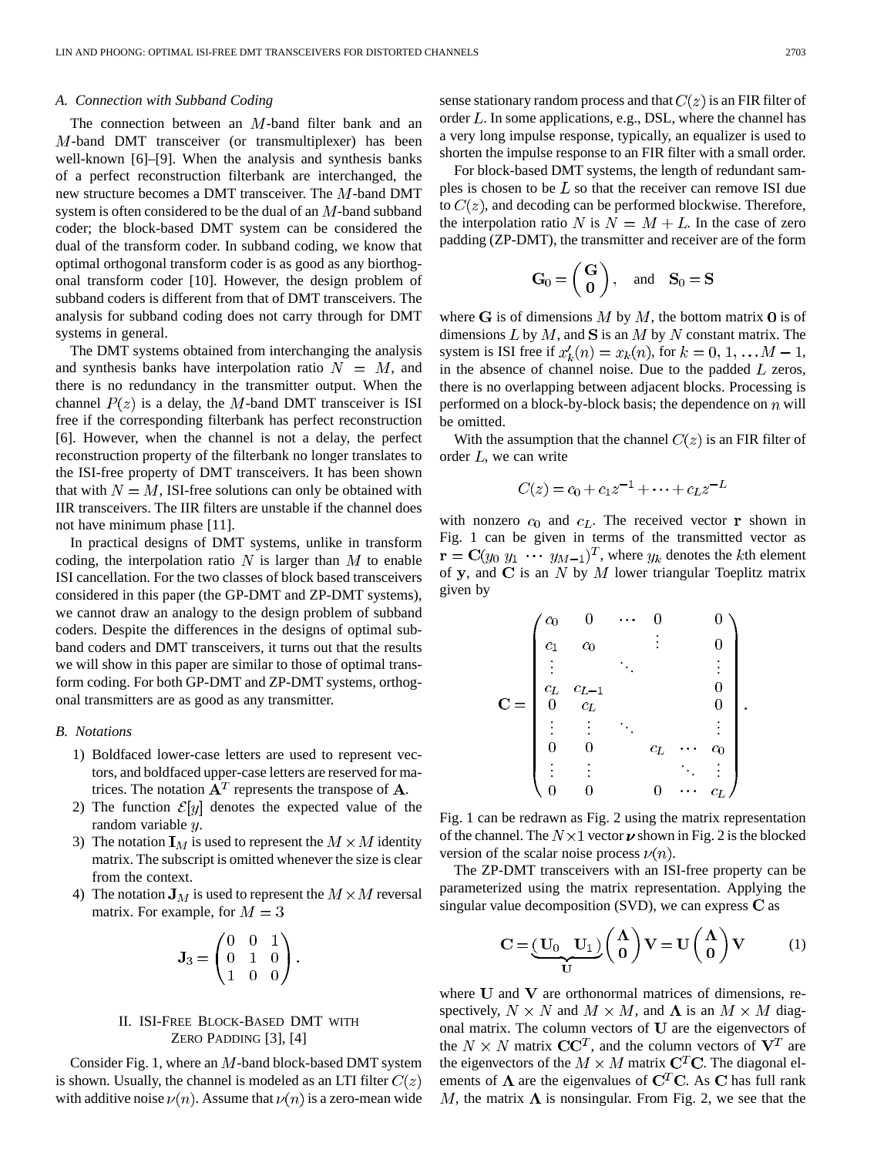## *A. Connection with Subband Coding*

The connection between an  $M$ -band filter bank and an M-band DMT transceiver (or transmultiplexer) has been well-known [6]–[9]. When the analysis and synthesis banks of a perfect reconstruction filterbank are interchanged, the new structure becomes a DMT transceiver. The  $M$ -band DMT system is often considered to be the dual of an  $M$ -band subband coder; the block-based DMT system can be considered the dual of the transform coder. In subband coding, we know that optimal orthogonal transform coder is as good as any biorthogonal transform coder [10]. However, the design problem of subband coders is different from that of DMT transceivers. The analysis for subband coding does not carry through for DMT systems in general.

The DMT systems obtained from interchanging the analysis and synthesis banks have interpolation ratio  $N = M$ , and there is no redundancy in the transmitter output. When the channel  $P(z)$  is a delay, the M-band DMT transceiver is ISI free if the corresponding filterbank has perfect reconstruction [6]. However, when the channel is not a delay, the perfect reconstruction property of the filterbank no longer translates to the ISI-free property of DMT transceivers. It has been shown that with  $N = M$ , ISI-free solutions can only be obtained with IIR transceivers. The IIR filters are unstable if the channel does not have minimum phase [11].

In practical designs of DMT systems, unlike in transform coding, the interpolation ratio  $N$  is larger than  $M$  to enable ISI cancellation. For the two classes of block based transceivers considered in this paper (the GP-DMT and ZP-DMT systems), we cannot draw an analogy to the design problem of subband coders. Despite the differences in the designs of optimal subband coders and DMT transceivers, it turns out that the results we will show in this paper are similar to those of optimal transform coding. For both GP-DMT and ZP-DMT systems, orthogonal transmitters are as good as any transmitter.

## *B. Notations*

- 1) Boldfaced lower-case letters are used to represent vectors, and boldfaced upper-case letters are reserved for matrices. The notation  $A<sup>T</sup>$  represents the transpose of  $A$ .
- 2) The function  $\mathcal{E}[y]$  denotes the expected value of the random variable  $y$ .
- 3) The notation  $I_M$  is used to represent the  $M \times M$  identity matrix. The subscript is omitted whenever the size is clear from the context.
- 4) The notation  $J_M$  is used to represent the  $M \times M$  reversal matrix. For example, for  $M = 3$

$$
\mathbf{J}_3 = \begin{pmatrix} 0 & 0 & 1 \\ 0 & 1 & 0 \\ 1 & 0 & 0 \end{pmatrix}
$$

# II. ISI-FREE BLOCK-BASED DMT WITH ZERO PADDING [3], [4]

Consider Fig. 1, where an  $M$ -band block-based DMT system is shown. Usually, the channel is modeled as an LTI filter  $C(z)$ with additive noise  $\nu(n)$ . Assume that  $\nu(n)$  is a zero-mean wide sense stationary random process and that  $C(z)$  is an FIR filter of order  $L$ . In some applications, e.g., DSL, where the channel has a very long impulse response, typically, an equalizer is used to shorten the impulse response to an FIR filter with a small order.

For block-based DMT systems, the length of redundant samples is chosen to be  $L$  so that the receiver can remove ISI due to  $C(z)$ , and decoding can be performed blockwise. Therefore, the interpolation ratio N is  $N = M + L$ . In the case of zero padding (ZP-DMT), the transmitter and receiver are of the form

$$
\mathbf{G}_0 = \begin{pmatrix} \mathbf{G} \\ \mathbf{0} \end{pmatrix}, \text{ and } \mathbf{S}_0 = \mathbf{S}
$$

where G is of dimensions  $M$  by  $M$ , the bottom matrix 0 is of dimensions  $L$  by  $M$ , and  $S$  is an  $M$  by  $N$  constant matrix. The system is ISI free if  $x'_k(n) = x_k(n)$ , for  $k = 0, 1, \dots M - 1$ , in the absence of channel noise. Due to the padded  $L$  zeros, there is no overlapping between adjacent blocks. Processing is performed on a block-by-block basis; the dependence on  $n$  will be omitted.

With the assumption that the channel  $C(z)$  is an FIR filter of order  $L$ , we can write

$$
C(z) = c_0 + c_1 z^{-1} + \dots + c_L z^{-L}
$$

with nonzero  $c_0$  and  $c_L$ . The received vector **r** shown in Fig. 1 can be given in terms of the transmitted vector as  $\mathbf{r} = \mathbf{C}(y_0 \ y_1 \ \cdots \ y_{M-1})^T$ , where  $y_k$  denotes the kth element of y, and C is an  $N$  by  $M$  lower triangular Toeplitz matrix given by

|       | $c_0$          |                         | 0     | 0     |  |
|-------|----------------|-------------------------|-------|-------|--|
|       | $c_1$          | $c_0$                   |       | 0     |  |
|       |                |                         |       |       |  |
|       | $c_L$          |                         |       | 0     |  |
| $C =$ | $\overline{0}$ | $\frac{c_{L-1}}{c_{L}}$ |       | 0     |  |
|       |                |                         |       |       |  |
|       | 0              | U                       | $c_L$ | $c_0$ |  |
|       |                |                         |       |       |  |
|       |                |                         | 0     | Cт,   |  |

Fig. 1 can be redrawn as Fig. 2 using the matrix representation of the channel. The  $N \times 1$  vector  $\nu$  shown in Fig. 2 is the blocked version of the scalar noise process  $\nu(n)$ .

The ZP-DMT transceivers with an ISI-free property can be parameterized using the matrix representation. Applying the singular value decomposition (SVD), we can express  $C$  as

$$
C = \underbrace{(U_0 \ U_1)}_{U} \left(\begin{array}{c} \Lambda \\ 0 \end{array}\right) V = U \left(\begin{array}{c} \Lambda \\ 0 \end{array}\right) V \tag{1}
$$

where  $U$  and  $V$  are orthonormal matrices of dimensions, respectively,  $N \times N$  and  $M \times M$ , and  $\Lambda$  is an  $M \times M$  diagonal matrix. The column vectors of  $U$  are the eigenvectors of the  $N \times N$  matrix  $CC<sup>T</sup>$ , and the column vectors of  $V<sup>T</sup>$  are the eigenvectors of the  $M \times M$  matrix  $C<sup>T</sup>C$ . The diagonal elements of  $\Lambda$  are the eigenvalues of C<sup>T</sup>C. As C has full rank M, the matrix  $\Lambda$  is nonsingular. From Fig. 2, we see that the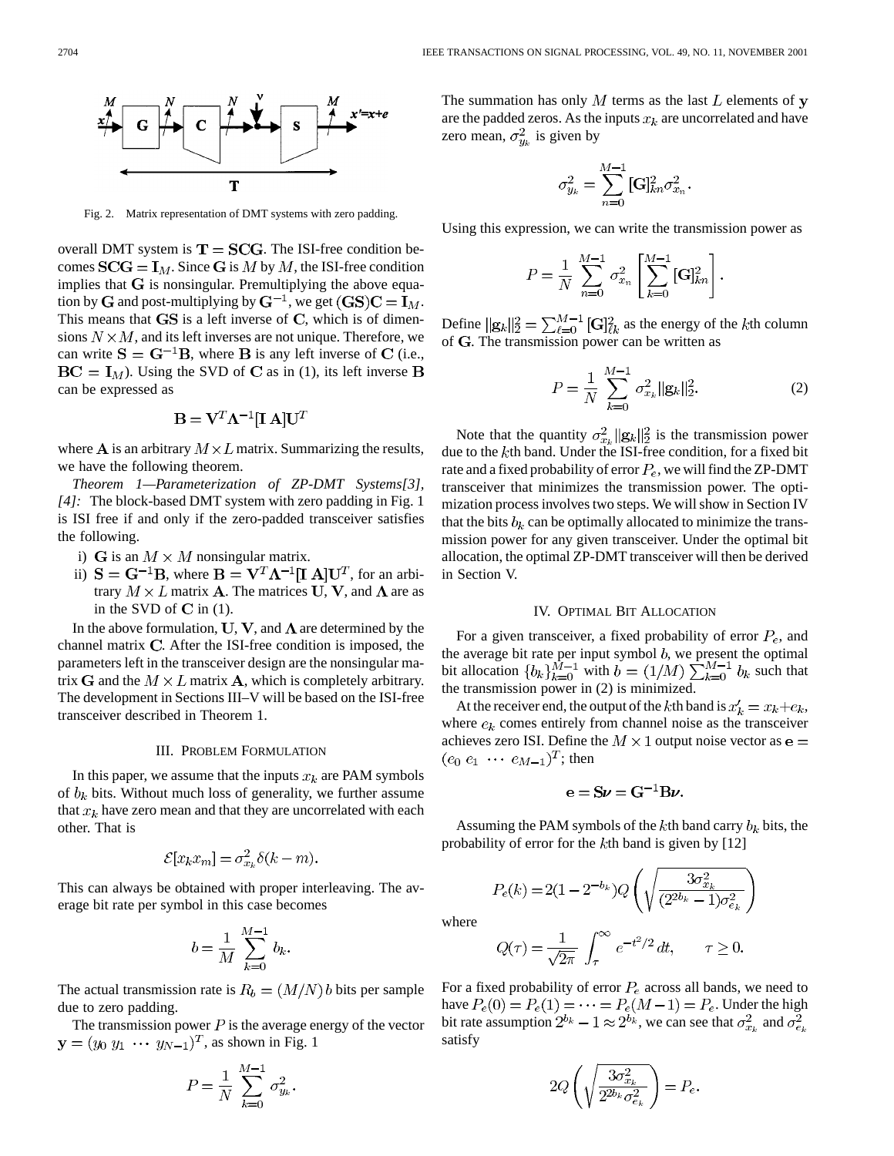

Fig. 2. Matrix representation of DMT systems with zero padding.

overall DMT system is  $T = \text{SCG}$ . The ISI-free condition becomes  $SCG = I_M$ . Since G is M by M, the ISI-free condition implies that  $G$  is nonsingular. Premultiplying the above equation by G and post-multiplying by  $G^{-1}$ , we get  $(GS)C = I_M$ . This means that  $\text{GS}$  is a left inverse of C, which is of dimensions  $N \times M$ , and its left inverses are not unique. Therefore, we can write  $S = G^{-1}B$ , where B is any left inverse of C (i.e.,  $BC = I_M$ ). Using the SVD of C as in (1), its left inverse B can be expressed as

$$
\mathbf{B} = \mathbf{V}^T \mathbf{\Lambda}^{-1} [\mathbf{I} \; \mathbf{A}] \mathbf{U}^T
$$

where **A** is an arbitrary  $M \times L$  matrix. Summarizing the results, we have the following theorem.

*Theorem 1—Parameterization of ZP-DMT Systems[3], [4]:* The block-based DMT system with zero padding in Fig. 1 is ISI free if and only if the zero-padded transceiver satisfies the following.

- i) G is an  $M \times M$  nonsingular matrix.
- ii)  $S = G^{-1}B$ , where  $B = V^{T}\Lambda^{-1}[I \t A]U^{T}$ , for an arbitrary  $M \times L$  matrix **A**. The matrices **U**, **V**, and **A** are as in the SVD of  $C$  in (1).

In the above formulation, U, V, and  $\Lambda$  are determined by the channel matrix  $C$ . After the ISI-free condition is imposed, the parameters left in the transceiver design are the nonsingular matrix G and the  $M \times L$  matrix A, which is completely arbitrary. The development in Sections III–V will be based on the ISI-free transceiver described in Theorem 1.

## III. PROBLEM FORMULATION

In this paper, we assume that the inputs  $x_k$  are PAM symbols of  $b_k$  bits. Without much loss of generality, we further assume that  $x_k$  have zero mean and that they are uncorrelated with each other. That is

$$
\mathcal{E}[x_k x_m] = \sigma_{x_k}^2 \delta(k - m).
$$

This can always be obtained with proper interleaving. The average bit rate per symbol in this case becomes

$$
b = \frac{1}{M} \sum_{k=0}^{M-1} b_k.
$$

The actual transmission rate is  $R_b = (M/N) b$  bits per sample due to zero padding.

The transmission power  $P$  is the average energy of the vector  $\mathbf{y} = (y_0 \ y_1 \ \cdots \ y_{N-1})^T$ , as shown in Fig. 1

$$
P = \frac{1}{N} \sum_{k=0}^{M-1} \sigma_{y_k}^2
$$

The summation has only  $M$  terms as the last  $L$  elements of  $y$ are the padded zeros. As the inputs  $x_k$  are uncorrelated and have zero mean,  $\sigma_{y_k}^2$  is given by

$$
\sigma_{y_k}^2 = \sum_{n=0}^{M-1} [\mathbf{G}]_{kn}^2 \sigma_{x_n}^2.
$$

Using this expression, we can write the transmission power as

$$
P = \frac{1}{N} \sum_{n=0}^{M-1} \sigma_{x_n}^2 \left[ \sum_{k=0}^{M-1} [\mathbf{G}]_{kn}^2 \right].
$$

Define  $||\mathbf{g}_k||_2^2 = \sum_{\ell=0}^{M-1} [\mathbf{G}]_{\ell k}^2$  as the energy of the *k*th column of G. The transmission power can be written as

$$
P = \frac{1}{N} \sum_{k=0}^{M-1} \sigma_{x_k}^2 ||\mathbf{g}_k||_2^2.
$$
 (2)

Note that the quantity  $\sigma_{x_k}^2 ||g_k||_2^2$  is the transmission power due to the kth band. Under the ISI-free condition, for a fixed bit rate and a fixed probability of error  $P_e$ , we will find the ZP-DMT transceiver that minimizes the transmission power. The optimization process involves two steps. We will show in Section IV that the bits  $b_k$  can be optimally allocated to minimize the transmission power for any given transceiver. Under the optimal bit allocation, the optimal ZP-DMT transceiver will then be derived in Section V.

### IV. OPTIMAL BIT ALLOCATION

For a given transceiver, a fixed probability of error  $P_e$ , and the average bit rate per input symbol  $b$ , we present the optimal bit allocation  ${b_k}_{k=0}^{M-1}$  with  $b = (1/M) \sum_{k=0}^{M-1} b_k$  such that the transmission power in (2) is minimized.

At the receiver end, the output of the kth band is  $x'_k = x_k + e_k$ , where  $e_k$  comes entirely from channel noise as the transceiver achieves zero ISI. Define the  $M \times 1$  output noise vector as  $e =$  $(e_0 \, e_1 \, \cdots \, e_{M-1})^T$ ; then

$$
e = S\nu = G^{-1}B\nu.
$$

Assuming the PAM symbols of the kth band carry  $b_k$  bits, the probability of error for the  $k$ th band is given by [12]

$$
P_e(k) = 2(1 - 2^{-b_k})Q\left(\sqrt{\frac{3\sigma_{x_k}^2}{(2^{2b_k} - 1)\sigma_{e_k}^2}}\right)
$$

where

$$
Q(\tau) = \frac{1}{\sqrt{2\pi}} \int_{\tau}^{\infty} e^{-t^2/2} dt, \qquad \tau \ge 0.
$$

For a fixed probability of error  $P_e$  across all bands, we need to have  $P_e(0) = P_e(1) = \cdots = P_e(M-1) = P_e$ . Under the high bit rate assumption  $2^{b_k} - 1 \approx 2^{b_k}$ , we can see that  $\sigma_{n_k}^2$  and satisfy

$$
2Q\left(\sqrt{\frac{3\sigma_{x_k}^2}{2^{2b_k}\sigma_{e_k}^2}}\right)=P_e
$$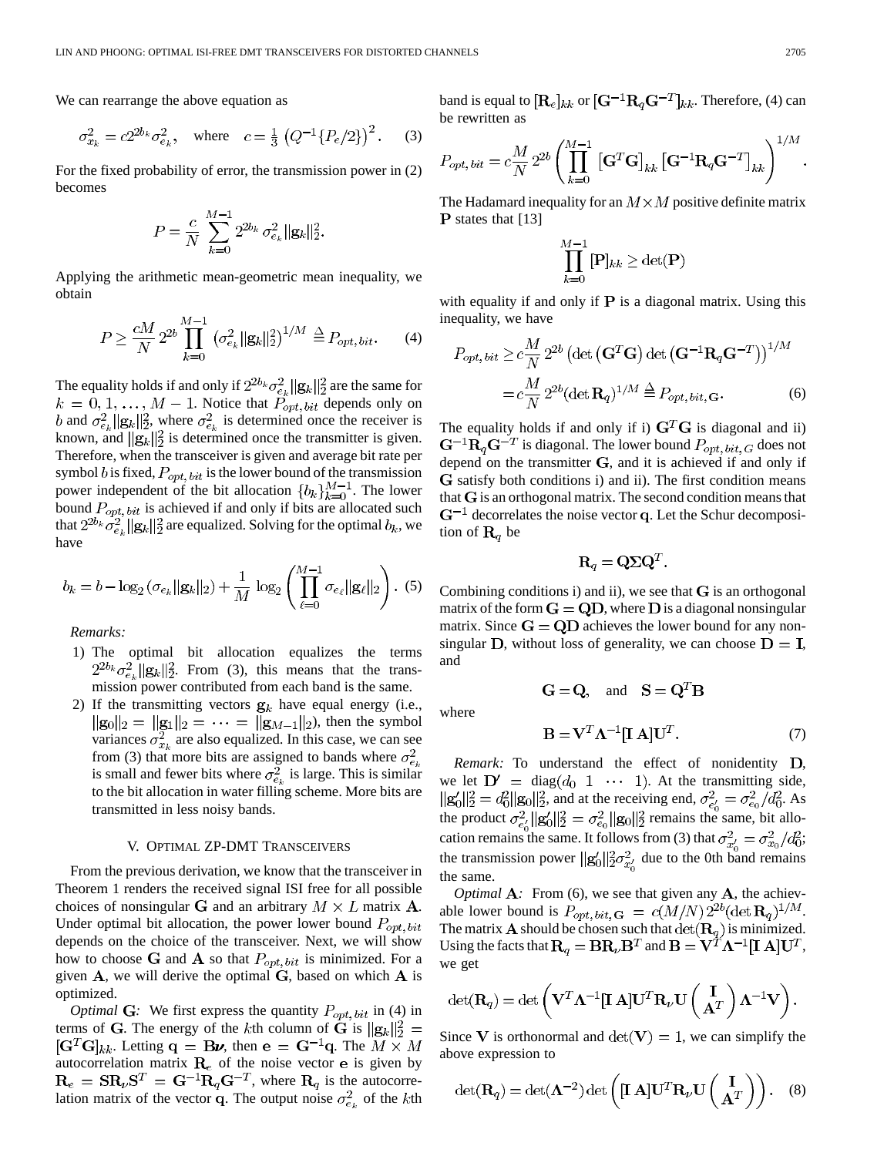We can rearrange the above equation as

$$
\sigma_{x_k}^2 = c2^{2b_k} \sigma_{e_k}^2
$$
, where  $c = \frac{1}{3} (Q^{-1} \{P_e/2\})^2$ . (3)

For the fixed probability of error, the transmission power in (2) becomes

$$
P = \frac{c}{N} \sum_{k=0}^{M-1} 2^{2b_k} \sigma_{e_k}^2 ||\mathbf{g}_k||_2^2.
$$

Applying the arithmetic mean-geometric mean inequality, we obtain

$$
P \ge \frac{cM}{N} 2^{2b} \prod_{k=0}^{M-1} \left( \sigma_{e_k}^2 ||\mathbf{g}_k||_2^2 \right)^{1/M} \triangleq P_{opt, bit}.
$$
 (4)

The equality holds if and only if  $2^{2b_k} \sigma_{e_k}^2 ||\mathbf{g}_k||_2^2$  are the same for . Notice that  $P_{opt, bit}$  depends only on and  $\sigma_{e_k}^2 ||\mathbf{g}_k||_2^2$ , where  $\sigma_{e_k}^2$  is determined once the receiver is known, and  $||g_k||_2^2$  is determined once the transmitter is given. Therefore, when the transceiver is given and average bit rate per symbol b is fixed,  $P_{opt, bit}$  is the lower bound of the transmission power independent of the bit allocation  ${b_k}_{k=0}^{M-1}$ . The lower bound  $P_{opt, bit}$  is achieved if and only if bits are allocated such that  $2^{2b_k} \sigma_{e_k}^2 ||\mathbf{g}_k||_2^2$  are equalized. Solving for the optimal  $b_k$ , we have

$$
b_k = b - \log_2 (\sigma_{e_k} ||\mathbf{g}_k||_2) + \frac{1}{M} \log_2 \left( \prod_{\ell=0}^{M-1} \sigma_{e_\ell} ||\mathbf{g}_\ell||_2 \right). \tag{5}
$$

*Remarks:*

- 1) The optimal bit allocation equalizes the terms  $2^{2b_k}\sigma_{e_k}^2\|\mathbf{g}_k\|_2^2$ . From (3), this means that the transmission power contributed from each band is the same.
- 2) If the transmitting vectors  $g_k$  have equal energy (i.e.,  $||g_0||_2 = ||g_1||_2 = \cdots = ||g_{M-1}||_2$ , then the symbol variances  $\sigma_{x_k}^2$  are also equalized. In this case, we can see from (3) that more bits are assigned to bands where  $\sigma_{e_k}^2$ is small and fewer bits where  $\sigma_{e_k}^2$  is large. This is similar to the bit allocation in water filling scheme. More bits are transmitted in less noisy bands.

### V. OPTIMAL ZP-DMT TRANSCEIVERS

From the previous derivation, we know that the transceiver in Theorem 1 renders the received signal ISI free for all possible choices of nonsingular G and an arbitrary  $M \times L$  matrix A. Under optimal bit allocation, the power lower bound  $P_{opt, bit}$ depends on the choice of the transceiver. Next, we will show how to choose **G** and **A** so that  $P_{opt, bit}$  is minimized. For a given  $A$ , we will derive the optimal  $G$ , based on which  $A$  is optimized.

*Optimal* **G**: We first express the quantity  $P_{opt, bit}$  in (4) in terms of G. The energy of the kth column of G is  $||g_k||_2^2 =$  $[\mathbf{G}^T\mathbf{G}]_{kk}$ . Letting  $\mathbf{q} = \mathbf{B}\boldsymbol{\nu}$ , then  $\mathbf{e} = \mathbf{G}^{-1}\mathbf{q}$ . The  $M \times M$ autocorrelation matrix  $\mathbf{R}_{e}$  of the noise vector **e** is given by  $R_e = SR_{\nu}S^T = G^{-1}R_qG^{-T}$ , where  $R_q$  is the autocorrelation matrix of the vector q. The output noise  $\sigma_{e_k}^2$  of the kth band is equal to  $[\mathbf{R}_e]_{kk}$  or  $[\mathbf{G}^{-1}\mathbf{R}_q\mathbf{G}^{-T}]_{kk}$ . Therefore, (4) can be rewritten as

$$
P_{opt, bit} = c \frac{M}{N} 2^{2b} \left( \prod_{k=0}^{M-1} [\mathbf{G}^T \mathbf{G}]_{kk} [\mathbf{G}^{-1} \mathbf{R}_q \mathbf{G}^{-T}]_{kk} \right)^{1/M}.
$$

The Hadamard inequality for an  $M \times M$  positive definite matrix  $\bf{P}$  states that [13]

 $\overline{I}$ 

$$
\prod_{k=0}^{M-1} [\mathbf{P}]_{kk} \ge \det(\mathbf{P})
$$

with equality if and only if  $P$  is a diagonal matrix. Using this inequality, we have

$$
P_{opt, bit} \ge c \frac{M}{N} 2^{2b} \left( \det\left(\mathbf{G}^T \mathbf{G}\right) \det\left(\mathbf{G}^{-1} \mathbf{R}_q \mathbf{G}^{-T}\right) \right)^{1/M}
$$

$$
= c \frac{M}{N} 2^{2b} \left( \det \mathbf{R}_q \right)^{1/M} \stackrel{\Delta}{=} P_{opt, bit, \mathbf{G}}.
$$
 (6)

The equality holds if and only if i)  $G<sup>T</sup>G$  is diagonal and ii)  $\mathbf{G}^{-1}\mathbf{R}_{q}\mathbf{G}^{-T}$  is diagonal. The lower bound  $P_{opt, bit, G}$  does not depend on the transmitter  $G$ , and it is achieved if and only if G satisfy both conditions i) and ii). The first condition means that  $G$  is an orthogonal matrix. The second condition means that  $G^{-1}$  decorrelates the noise vector q. Let the Schur decomposition of  $\mathbf{R}_q$  be

$$
\mathbf{R}_q = \mathbf{Q} \Sigma \mathbf{Q}^T.
$$

Combining conditions i) and ii), we see that  $G$  is an orthogonal matrix of the form  $G = QD$ , where D is a diagonal nonsingular matrix. Since  $G = QD$  achieves the lower bound for any nonsingular D, without loss of generality, we can choose  $D = I$ , and

 $\mathbf{G} = \mathbf{Q}$ , and  $\mathbf{S} = \mathbf{Q}^T \mathbf{B}$ 

where

$$
\mathbf{B} = \mathbf{V}^T \mathbf{\Lambda}^{-1} [\mathbf{I} \ \mathbf{A}] \mathbf{U}^T. \tag{7}
$$

*Remark:* To understand the effect of nonidentity D, we let  $D' = diag(d_0 \ 1 \ \cdots \ 1)$ . At the transmitting side,  $||\mathbf{g}'_0||_2^2 = d_0^2 ||\mathbf{g}_0||_2^2$ , and at the receiving end,  $\sigma_{e'_0}^2 = \sigma_{e_0}^2 / d_0^2$ . As the product  $\sigma_{e'}^2 ||g_0'||_2^2 = \sigma_{e_0}^2 ||g_0||_2^2$  remains the same, bit allocation remains the same. It follows from (3) that  $\sigma_{x'}^2 = \sigma_{x_0}^2/d_0^2$ ; the transmission power  $||g'_0||_2^2 \sigma_{x'_0}^2$  due to the 0th band remains the same.

*Optimal*  $\bf{A}$ : From (6), we see that given any  $\bf{A}$ , the achievable lower bound is  $P_{opt, bit, \mathbf{G}} = c(M/N) 2^{2b} (\det \mathbf{R}_q)^{1/M}$ . The matrix **A** should be chosen such that  $\det(\mathbf{R}_q)$  is minimized. Using the facts that  $\mathbf{R}_q = \mathbf{B} \mathbf{R}_{\nu} \mathbf{B}^T$  and  $\mathbf{B} = \mathbf{V}^T \mathbf{\Lambda}^{-1} [\mathbf{I} \; \mathbf{A}] \mathbf{U}^T$ , we get

$$
\det(\mathbf{R}_q) = \det\left(\mathbf{V}^T \mathbf{\Lambda}^{-1} [\mathbf{I} \; \mathbf{A}] \mathbf{U}^T \mathbf{R}_{\nu} \mathbf{U} \begin{pmatrix} \mathbf{I} \\ \mathbf{A}^T \end{pmatrix} \mathbf{\Lambda}^{-1} \mathbf{V} \right).
$$

Since V is orthonormal and  $\det(V) = 1$ , we can simplify the above expression to

$$
\det(\mathbf{R}_q) = \det(\mathbf{\Lambda}^{-2}) \det\left(\begin{bmatrix} \mathbf{I} \ \mathbf{A} \end{bmatrix} \mathbf{U}^T \mathbf{R}_{\nu} \mathbf{U} \begin{bmatrix} \mathbf{I} \\ \mathbf{A}^T \end{bmatrix}\right). \tag{8}
$$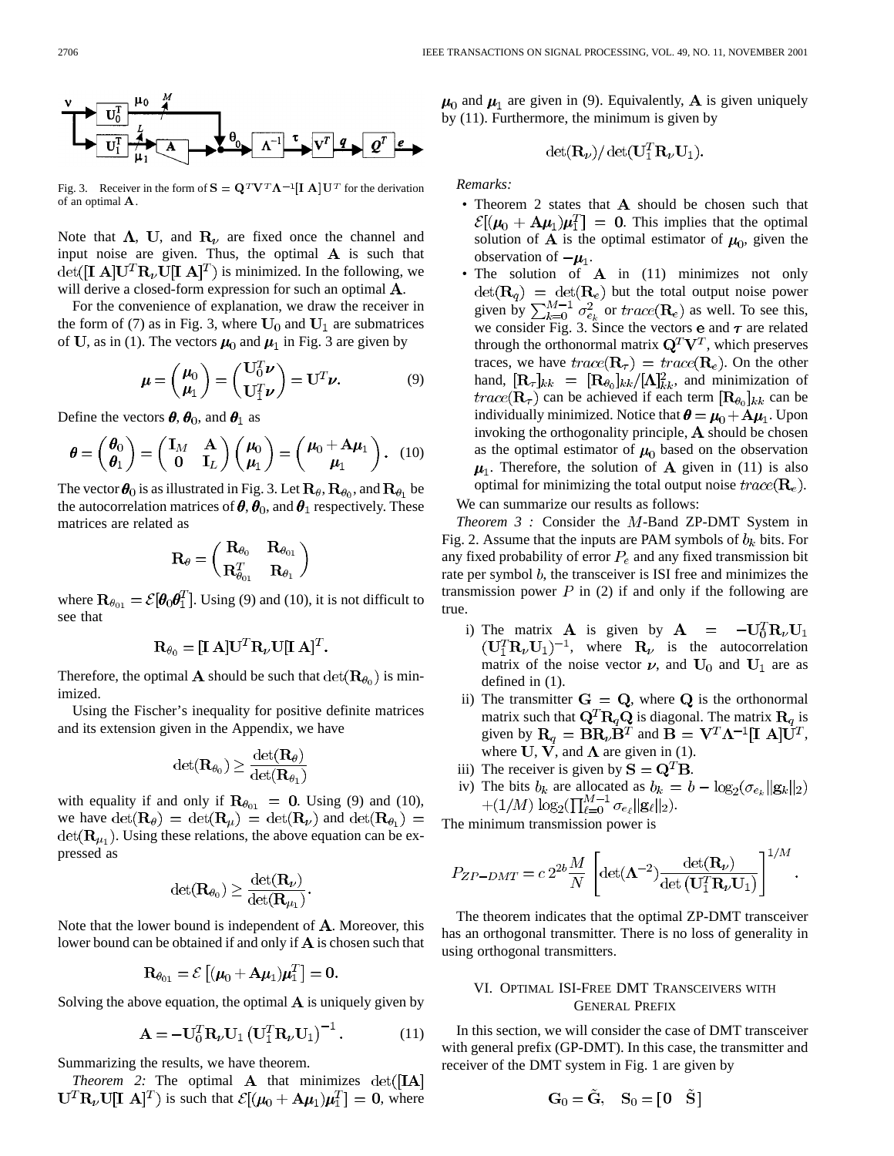

Fig. 3. Receiver in the form of  $S = Q^T V^T \Lambda^{-1} [I \t A] U^T$  for the derivation of an optimal A.

Note that  $\Lambda$ , U, and  $R_{\nu}$  are fixed once the channel and input noise are given. Thus, the optimal  $\bf{A}$  is such that  $\det([\mathbf{I} \; \mathbf{A}] \mathbf{U}^T \mathbf{R}_{\nu} \mathbf{U}]\mathbf{I} \mathbf{A}]^T$  is minimized. In the following, we will derive a closed-form expression for such an optimal A.

For the convenience of explanation, we draw the receiver in the form of (7) as in Fig. 3, where  $U_0$  and  $U_1$  are submatrices of U, as in (1). The vectors  $\mu_0$  and  $\mu_1$  in Fig. 3 are given by

$$
\boldsymbol{\mu} = \begin{pmatrix} \boldsymbol{\mu}_0 \\ \boldsymbol{\mu}_1 \end{pmatrix} = \begin{pmatrix} \mathbf{U}_0^T \boldsymbol{\nu} \\ \mathbf{U}_1^T \boldsymbol{\nu} \end{pmatrix} = \mathbf{U}^T \boldsymbol{\nu}.
$$
 (9)

Define the vectors  $\boldsymbol{\theta}$ ,  $\boldsymbol{\theta}_0$ , and  $\boldsymbol{\theta}_1$  as

$$
\boldsymbol{\theta} = \begin{pmatrix} \boldsymbol{\theta}_0 \\ \boldsymbol{\theta}_1 \end{pmatrix} = \begin{pmatrix} \mathbf{I}_M & \mathbf{A} \\ \mathbf{0} & \mathbf{I}_L \end{pmatrix} \begin{pmatrix} \boldsymbol{\mu}_0 \\ \boldsymbol{\mu}_1 \end{pmatrix} = \begin{pmatrix} \boldsymbol{\mu}_0 + \mathbf{A}\boldsymbol{\mu}_1 \\ \boldsymbol{\mu}_1 \end{pmatrix}.
$$
 (10)

The vector  $\theta_0$  is as illustrated in Fig. 3. Let  $\mathbf{R}_{\theta}$ ,  $\mathbf{R}_{\theta_0}$ , and  $\mathbf{R}_{\theta_1}$  be the autocorrelation matrices of  $\theta$ ,  $\theta$ <sub>0</sub>, and  $\theta$ <sub>1</sub> respectively. These matrices are related as

$$
\mathbf{R}_{\theta} = \begin{pmatrix} \mathbf{R}_{\theta_0} & \mathbf{R}_{\theta_{01}} \\ \mathbf{R}_{\theta_{01}}^T & \mathbf{R}_{\theta_1} \end{pmatrix}
$$

where  $\mathbf{R}_{\theta_{01}} = \mathcal{E}[\mathbf{\theta}_0 \mathbf{\theta}_1^T]$ . Using (9) and (10), it is not difficult to see that

$$
\mathbf{R}_{\theta_0} = [\mathbf{I} \; \mathbf{A}] \mathbf{U}^T \mathbf{R}_{\nu} \mathbf{U} [\mathbf{I} \; \mathbf{A}]^T.
$$

Therefore, the optimal **A** should be such that  $\det(\mathbf{R}_{\theta_0})$  is minimized.

Using the Fischer's inequality for positive definite matrices and its extension given in the Appendix, we have

$$
\det(\mathbf{R}_{\theta_0}) \geq \frac{\det(\mathbf{R}_{\theta})}{\det(\mathbf{R}_{\theta_1})}
$$

with equality if and only if  $\mathbf{R}_{\theta_{01}} = 0$ . Using (9) and (10), we have  $\det(\mathbf{R}_{\theta}) = \det(\mathbf{R}_{\mu}) = \det(\mathbf{R}_{\nu})$  and  $\det(\mathbf{R}_{\theta_1}) =$  $\det(\mathbf{R}_{\mu_1})$ . Using these relations, the above equation can be expressed as

$$
\det(\mathbf{R}_{\theta_0}) \geq \frac{\det(\mathbf{R}_{\nu})}{\det(\mathbf{R}_{\mu_1})}.
$$

Note that the lower bound is independent of  $A$ . Moreover, this lower bound can be obtained if and only if  $A$  is chosen such that

$$
\mathbf{R}_{\theta_{01}} = \mathcal{E}\left[ (\boldsymbol{\mu}_0 + \mathbf{A}\boldsymbol{\mu}_1) \boldsymbol{\mu}_1^T \right] = \mathbf{0}.
$$

Solving the above equation, the optimal  $A$  is uniquely given by

$$
\mathbf{A} = -\mathbf{U}_0^T \mathbf{R}_{\nu} \mathbf{U}_1 \left( \mathbf{U}_1^T \mathbf{R}_{\nu} \mathbf{U}_1 \right)^{-1} . \tag{11}
$$

Summarizing the results, we have theorem.

*Theorem 2:* The optimal  $\bf{A}$  that minimizes  $\det([\bf{IA}]$  $\mathbf{U}^T \mathbf{R}_{\nu} \mathbf{U} [\mathbf{I} \; \mathbf{A}]^T$  is such that  $\mathcal{E}[(\mu_0 + \mathbf{A}\mu_1)\mu_1^T] = 0$ , where  $\mu_0$  and  $\mu_1$  are given in (9). Equivalently, **A** is given uniquely by (11). Furthermore, the minimum is given by

$$
\det(\mathbf{R}_{\nu})/\det(\mathbf{U}_1^T\mathbf{R}_{\nu}\mathbf{U}_1).
$$

*Remarks:*

- Theorem 2 states that A should be chosen such that  $\mathcal{E}[(\mu_0 + A\mu_1)\mu_1^T] = 0$ . This implies that the optimal solution of **A** is the optimal estimator of  $\mu_0$ , given the observation of  $-\mu_1$ .
- The solution of  $A$  in (11) minimizes not only  $\det(\mathbf{R}_{q}) = \det(\mathbf{R}_{e})$  but the total output noise power given by  $\sum_{k=0}^{M-1} \sigma_{e_k}^2$  or  $trace(\mathbf{R}_e)$  as well. To see this, we consider Fig. 3. Since the vectors  $e$  and  $\tau$  are related through the orthonormal matrix  $\mathbf{Q}^T \mathbf{V}^T$ , which preserves traces, we have  $trace(\mathbf{R}_{\tau}) = trace(\mathbf{R}_{e})$ . On the other hand,  $[\mathbf{R}_{\tau}]_{kk} = [\mathbf{R}_{\theta_0}]_{kk} / [\mathbf{\Lambda}]_{kk}^2$ , and minimization of  $trace(\mathbf{R}_{\tau})$  can be achieved if each term  $[\mathbf{R}_{\theta_0}]_{kk}$  can be individually minimized. Notice that  $\theta = \mu_0 + A\mu_1$ . Upon invoking the orthogonality principle,  $A$  should be chosen as the optimal estimator of  $\mu_0$  based on the observation  $\mu_1$ . Therefore, the solution of **A** given in (11) is also optimal for minimizing the total output noise  $trace(\mathbf{R}_{e}).$

We can summarize our results as follows:

*Theorem 3 :* Consider the  $M$ -Band ZP-DMT System in Fig. 2. Assume that the inputs are PAM symbols of  $b_k$  bits. For any fixed probability of error  $P_e$  and any fixed transmission bit rate per symbol  $b$ , the transceiver is ISI free and minimizes the transmission power  $P$  in (2) if and only if the following are true.

- i) The matrix **A** is given by  $A = -U_0^T R_\nu U_1$  $(\mathbf{U}_1^T \mathbf{R}_{\nu} \mathbf{U}_1)^{-1}$ , where  $\mathbf{R}_{\nu}$  is the autocorrelation matrix of the noise vector  $v$ , and  $U_0$  and  $U_1$  are as defined in (1).
- ii) The transmitter  $G = Q$ , where Q is the orthonormal matrix such that  $\mathbf{Q}^T \mathbf{R}_q \mathbf{Q}$  is diagonal. The matrix  $\mathbf{R}_q$  is given by  $\mathbf{R}_q = \mathbf{B} \mathbf{R}_\nu \mathbf{B}^T$  and  $\mathbf{B} = \mathbf{V}^T \mathbf{\Lambda}^{-1} [\mathbf{I} \; \mathbf{A}] \mathbf{U}^T$ , where U, V, and  $\Lambda$  are given in (1).
- iii) The receiver is given by  $S = Q^T B$ .
- iv) The bits  $b_k$  are allocated as .

The minimum transmission power is

$$
P_{ZP-DMT} = c 2^{2b} \frac{M}{N} \left[ \det(\mathbf{\Lambda}^{-2}) \frac{\det(\mathbf{R}_{\nu})}{\det(\mathbf{U}_{1}^{T} \mathbf{R}_{\nu} \mathbf{U}_{1})} \right]^{1/M}.
$$

The theorem indicates that the optimal ZP-DMT transceiver has an orthogonal transmitter. There is no loss of generality in using orthogonal transmitters.

# VI. OPTIMAL ISI-FREE DMT TRANSCEIVERS WITH GENERAL PREFIX

In this section, we will consider the case of DMT transceiver with general prefix (GP-DMT). In this case, the transmitter and receiver of the DMT system in Fig. 1 are given by

$$
\mathbf{G}_0 = \mathbf{G}, \quad \mathbf{S}_0 = \begin{bmatrix} \mathbf{0} & \mathbf{S} \end{bmatrix}
$$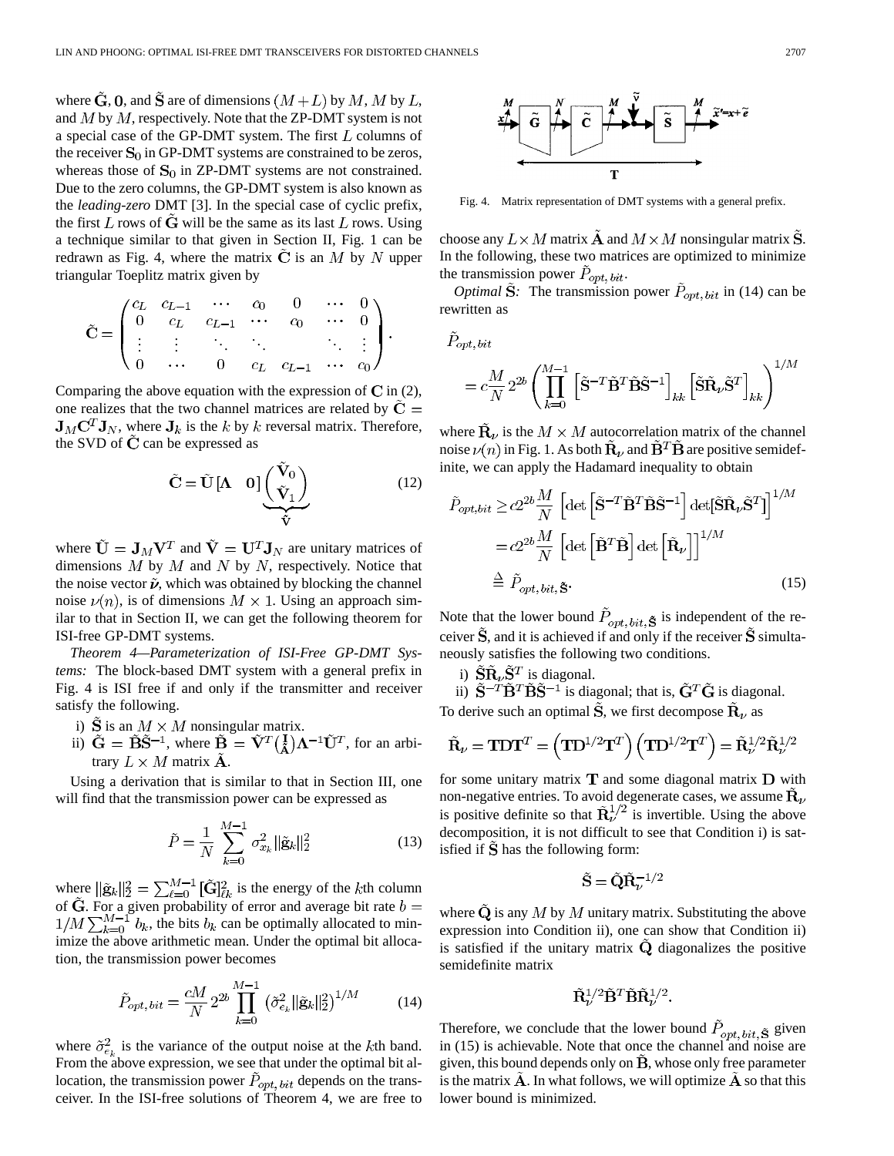where  $\tilde{G}$ , 0, and  $\tilde{S}$  are of dimensions  $(M+L)$  by  $M$ ,  $M$  by  $L$ , and  $M$  by  $M$ , respectively. Note that the ZP-DMT system is not a special case of the GP-DMT system. The first  $L$  columns of the receiver  $S_0$  in GP-DMT systems are constrained to be zeros, whereas those of  $S_0$  in ZP-DMT systems are not constrained. Due to the zero columns, the GP-DMT system is also known as the *leading-zero* DMT [3]. In the special case of cyclic prefix, the first  $L$  rows of  $G$  will be the same as its last  $L$  rows. Using a technique similar to that given in Section II, Fig. 1 can be redrawn as Fig. 4, where the matrix  $\tilde{C}$  is an M by N upper triangular Toeplitz matrix given by

$$
\tilde{\mathbf{C}} = \begin{pmatrix} c_L & c_{L-1} & \cdots & c_0 & 0 & \cdots & 0 \\ 0 & c_L & c_{L-1} & \cdots & c_0 & \cdots & 0 \\ \vdots & \vdots & \ddots & \ddots & & \ddots & \vdots \\ 0 & \cdots & 0 & c_L & c_{L-1} & \cdots & c_0 \end{pmatrix}.
$$

Comparing the above equation with the expression of  $C$  in (2), one realizes that the two channel matrices are related by  $\dot{C} =$  $\mathbf{J}_M \mathbf{C}^T \mathbf{J}_N$ , where  $\mathbf{J}_k$  is the k by k reversal matrix. Therefore, the SVD of  $\tilde{\mathbf{C}}$  can be expressed as

$$
\tilde{\mathbf{C}} = \tilde{\mathbf{U}} \begin{bmatrix} \mathbf{\Lambda} & \mathbf{0} \end{bmatrix} \underbrace{\begin{pmatrix} \mathbf{V}_0 \\ \tilde{\mathbf{V}}_1 \end{pmatrix}}_{\tilde{\mathbf{V}}} \tag{12}
$$

where  $\tilde{\mathbf{U}} = \mathbf{J}_M \mathbf{V}^T$  and  $\tilde{\mathbf{V}} = \mathbf{U}^T \mathbf{J}_N$  are unitary matrices of dimensions  $M$  by  $M$  and  $N$  by  $N$ , respectively. Notice that the noise vector  $\tilde{\nu}$ , which was obtained by blocking the channel noise  $\nu(n)$ , is of dimensions  $M \times 1$ . Using an approach similar to that in Section II, we can get the following theorem for ISI-free GP-DMT systems.

*Theorem 4—Parameterization of ISI-Free GP-DMT Systems:* The block-based DMT system with a general prefix in Fig. 4 is ISI free if and only if the transmitter and receiver satisfy the following.

- i)  $\hat{S}$  is an  $M \times M$  nonsingular matrix.
- ii)  $\tilde{G} = \tilde{B}\tilde{S}^{-1}$ , where  $\tilde{B} = \tilde{V}^{T}(\frac{I}{\lambda})\Lambda^{-1}\tilde{U}^{T}$ , for an arbitrary  $L \times M$  matrix  $\dot{\mathbf{A}}$ .

Using a derivation that is similar to that in Section III, one will find that the transmission power can be expressed as

$$
\tilde{P} = \frac{1}{N} \sum_{k=0}^{M-1} \sigma_{x_k}^2 ||\tilde{\mathbf{g}}_k||_2^2
$$
\n(13)

where  $\|\tilde{\mathbf{g}}_k\|_2^2 = \sum_{\ell=0}^{M-1} [\tilde{\mathbf{G}}]_{\ell k}^2$  is the energy of the *k*th column of  $G$ . For a given probability of error and average bit rate , the bits  $b_k$  can be optimally allocated to minimize the above arithmetic mean. Under the optimal bit allocation, the transmission power becomes

$$
\tilde{P}_{opt, bit} = \frac{cM}{N} 2^{2b} \prod_{k=0}^{M-1} \left( \tilde{\sigma}_{e_k}^2 ||\tilde{\mathbf{g}}_k||_2^2 \right)^{1/M} \tag{14}
$$

where  $\tilde{\sigma}_{e_k}^2$  is the variance of the output noise at the kth band. From the above expression, we see that under the optimal bit allocation, the transmission power  $P_{opt, bit}$  depends on the transceiver. In the ISI-free solutions of Theorem 4, we are free to



Fig. 4. Matrix representation of DMT systems with a general prefix.

choose any  $L \times M$  matrix  $\mathbf{A}$  and  $M \times M$  nonsingular matrix  $\mathbf{S}$ . In the following, these two matrices are optimized to minimize the transmission power  $P_{opt, bit}$ .

*Optimal*  $\tilde{S}$ : The transmission power  $\tilde{P}_{opt, bit}$  in (14) can be rewritten as

 $\tilde{P}_{opt. bit}$ 

$$
=c\frac{M}{N}\,2^{2b}\left(\prod_{k=0}^{M-1}\left[\tilde{\mathbf{S}}^{-T}\tilde{\mathbf{B}}^T\tilde{\mathbf{B}}\tilde{\mathbf{S}}^{-1}\right]_{kk}\left[\tilde{\mathbf{S}}\tilde{\mathbf{R}}_\nu\tilde{\mathbf{S}}^T\right]_{kk}\right)^{1/M}
$$

where  $\mathbf{\hat{R}}_{\nu}$  is the  $M \times M$  autocorrelation matrix of the channel noise  $\nu(n)$  in Fig. 1. As both  $\tilde{\mathbf{R}}_{\nu}$  and  $\tilde{\mathbf{B}}^T \tilde{\mathbf{B}}$  are positive semidefinite, we can apply the Hadamard inequality to obtain

$$
\tilde{P}_{opt, bit} \ge c2^{2b} \frac{M}{N} \left[ \det \left[ \tilde{\mathbf{S}}^{-T} \tilde{\mathbf{B}}^{T} \tilde{\mathbf{B}} \tilde{\mathbf{S}}^{-1} \right] \det \left[ \tilde{\mathbf{S}} \tilde{\mathbf{R}}_{\nu} \tilde{\mathbf{S}}^{T} \right] \right]^{1/M}
$$
\n
$$
= c2^{2b} \frac{M}{N} \left[ \det \left[ \tilde{\mathbf{B}}^{T} \tilde{\mathbf{B}} \right] \det \left[ \tilde{\mathbf{R}}_{\nu} \right] \right]^{1/M}
$$
\n
$$
\stackrel{\triangle}{=} \tilde{P}_{opt, bit, \tilde{\mathbf{S}}}.
$$
\n(15)

Note that the lower bound  $\hat{P}_{opt, bit, \tilde{S}}$  is independent of the receiver  $\tilde{\mathbf{S}}$ , and it is achieved if and only if the receiver  $\tilde{\mathbf{S}}$  simultaneously satisfies the following two conditions.

i)  $\tilde{\mathbf{S}} \tilde{\mathbf{R}}_{\nu} \tilde{\mathbf{S}}^T$  is diagonal.

ii)  $\tilde{S}^{-T} \tilde{B}^T \tilde{B} \tilde{S}^{-1}$  is diagonal; that is,  $\tilde{G}^T \tilde{G}$  is diagonal. To derive such an optimal  $\tilde{S}$ , we first decompose  $\tilde{R}_{\nu}$  as

$$
\tilde{\mathbf{R}}_{\nu} = \mathbf{T} \mathbf{D} \mathbf{T}^T = \left( \mathbf{T} \mathbf{D}^{1/2} \mathbf{T}^T \right) \left( \mathbf{T} \mathbf{D}^{1/2} \mathbf{T}^T \right) = \tilde{\mathbf{R}}_{\nu}^{1/2} \tilde{\mathbf{R}}_{\nu}^{1/2}
$$

for some unitary matrix  $T$  and some diagonal matrix  $D$  with non-negative entries. To avoid degenerate cases, we assume  $\hat{\mathbf{R}}_{\nu}$ is positive definite so that  $\tilde{R}_{\nu}^{1/2}$  is invertible. Using the above decomposition, it is not difficult to see that Condition i) is satisfied if S has the following form:

$$
\tilde{\mathbf{S}} = \tilde{\mathbf{Q}} \tilde{\mathbf{R}}_{\mathrm{u}}^{-1/2}
$$

where  $\dot{Q}$  is any M by M unitary matrix. Substituting the above expression into Condition ii), one can show that Condition ii) is satisfied if the unitary matrix  $\dot{Q}$  diagonalizes the positive semidefinite matrix

$$
\tilde{\mathbf{R}}_{\nu}^{1/2}\tilde{\mathbf{B}}^T\tilde{\mathbf{B}}\tilde{\mathbf{R}}_{\nu}^{1/2}.
$$

Therefore, we conclude that the lower bound  $\tilde{P}_{opt, bit, \tilde{S}}$  given in (15) is achievable. Note that once the channel and noise are given, this bound depends only on  $B$ , whose only free parameter is the matrix  $A$ . In what follows, we will optimize  $\overline{A}$  so that this lower bound is minimized.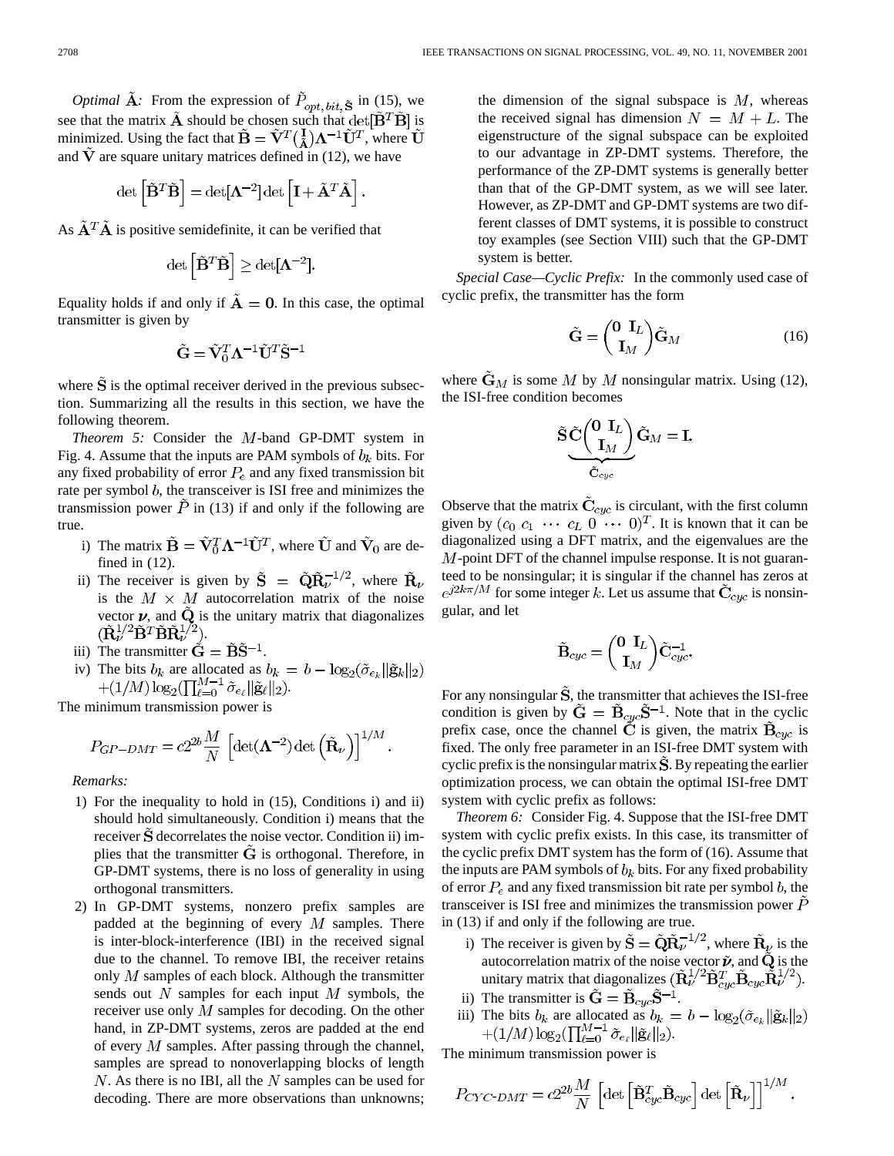*Optimal*  $\tilde{A}$ : From the expression of  $\tilde{P}_{opt, bit, \tilde{S}}$  in (15), we see that the matrix  $\tilde{A}$  should be chosen such that  $\det[\tilde{B}^T\tilde{B}]$  is minimized. Using the fact that  $\tilde{\mathbf{B}} = \tilde{\mathbf{V}}^T(\frac{\mathbf{I}}{\tilde{\mathbf{A}}})\mathbf{\Lambda}^{-1}\tilde{\mathbf{U}}^T$ , where  $\tilde{\mathbf{U}}$ and  $\hat{V}$  are square unitary matrices defined in (12), we have

$$
\det\left[\tilde{\mathbf{B}}^T\tilde{\mathbf{B}}\right] = \det[\mathbf{\Lambda}^{-2}]\det\left[\mathbf{I} + \tilde{\mathbf{A}}^T\tilde{\mathbf{A}}\right].
$$

As  $\tilde{A}^T \tilde{A}$  is positive semidefinite, it can be verified that

$$
\det\left[\tilde{\mathbf{B}}^T\tilde{\mathbf{B}}\right] \geq \det[\mathbf{\Lambda}^{-2}].
$$

Equality holds if and only if  $\tilde{A} = 0$ . In this case, the optimal transmitter is given by

$$
\tilde{\mathbf{G}}=\tilde{\mathbf{V}}_{0}^{T}\mathbf{\Lambda}^{-1}\tilde{\mathbf{U}}^{T}\tilde{\mathbf{S}}^{-1}
$$

where  $\hat{S}$  is the optimal receiver derived in the previous subsection. Summarizing all the results in this section, we have the following theorem.

*Theorem 5:* Consider the M-band GP-DMT system in Fig. 4. Assume that the inputs are PAM symbols of  $b_k$  bits. For any fixed probability of error  $P_e$  and any fixed transmission bit rate per symbol  $b$ , the transceiver is ISI free and minimizes the transmission power  $\tilde{P}$  in (13) if and only if the following are true.

- i) The matrix  $\tilde{\mathbf{B}} = \tilde{\mathbf{V}}_0^T \mathbf{\Lambda}^{-1} \tilde{\mathbf{U}}^T$ , where  $\tilde{\mathbf{U}}$  and  $\tilde{\mathbf{V}}_0$  are defined in (12).
- ii) The receiver is given by  $\tilde{S} = \tilde{Q} \tilde{R}_{\nu}^{-1/2}$ , where  $\tilde{R}_{\nu}$ is the  $M \times M$  autocorrelation matrix of the noise vector  $\nu$ , and  $\tilde{Q}$  is the unitary matrix that diagonalizes  $(\tilde{\mathbf{R}}_1^{1/2} \tilde{\mathbf{B}}^T \tilde{\mathbf{B}} \tilde{\mathbf{R}}_1^{1/2}).$
- iii) The transmitter  $\tilde{G} = \tilde{B}\tilde{S}^{-1}$ .
- iv) The bits  $b_k$  are allocated as .

The minimum transmission power is

$$
P_{GP-DMT} = c2^{2b} \frac{M}{N} \left[ \det(\mathbf{\Lambda}^{-2}) \det(\tilde{\mathbf{R}}_{\nu}) \right]^{1/M}
$$

*Remarks:*

- 1) For the inequality to hold in (15), Conditions i) and ii) should hold simultaneously. Condition i) means that the receiver  $\tilde{S}$  decorrelates the noise vector. Condition ii) implies that the transmitter  $\tilde{G}$  is orthogonal. Therefore, in GP-DMT systems, there is no loss of generality in using orthogonal transmitters.
- 2) In GP-DMT systems, nonzero prefix samples are padded at the beginning of every  $M$  samples. There is inter-block-interference (IBI) in the received signal due to the channel. To remove IBI, the receiver retains only  $M$  samples of each block. Although the transmitter sends out N samples for each input  $M$  symbols, the receiver use only  $M$  samples for decoding. On the other hand, in ZP-DMT systems, zeros are padded at the end of every  $M$  samples. After passing through the channel, samples are spread to nonoverlapping blocks of length  $N$ . As there is no IBI, all the  $N$  samples can be used for decoding. There are more observations than unknowns;

the dimension of the signal subspace is  $M$ , whereas the received signal has dimension  $N = M + L$ . The eigenstructure of the signal subspace can be exploited to our advantage in ZP-DMT systems. Therefore, the performance of the ZP-DMT systems is generally better than that of the GP-DMT system, as we will see later. However, as ZP-DMT and GP-DMT systems are two different classes of DMT systems, it is possible to construct toy examples (see Section VIII) such that the GP-DMT system is better.

*Special Case—Cyclic Prefix:* In the commonly used case of cyclic prefix, the transmitter has the form

$$
\tilde{\mathbf{G}} = \begin{pmatrix} \mathbf{0} & \mathbf{I}_L \\ \mathbf{I}_M \end{pmatrix} \tilde{\mathbf{G}}_M \tag{16}
$$

where  $G_M$  is some M by M nonsingular matrix. Using (12), the ISI-free condition becomes

$$
\check{\mathbf{S}}\underbrace{\tilde{\mathbf{C}}\binom{\mathbf{0}}{\mathbf{I}_M}}_{\check{\mathbf{C}}_{cyc}}\tilde{\mathbf{G}}_M=\mathbf{I}.
$$

Observe that the matrix  $\tilde{C}_{cyc}$  is circulant, with the first column given by  $(c_0 \nc_1 \nc_1 \nc_2 \nc_3 \nc_4 \nc_5 \nc_6 \nc_7 \nc_8 \nc_9 \nc_9 \nc_1 \nc_1 \nc_1 \nc_2 \nc_3 \nc_5 \nc_7 \nc_8 \nc_9 \nc_1 \nc_1 \nc_1 \nc_2 \nc_3 \nc_4 \nc_5 \nc_6 \nc_7 \nc_8 \nc_9 \nc_1 \nc_1 \nc_2 \nc_3 \nc_4 \nc_5 \nc_6 \nc_7 \nc_8 \nc_9 \nc_1 \nc_1 \nc_2 \nc_3 \nc_4 \nc_5 \nc_6 \nc_7 \nc_8 \nc_9 \nc_1$ diagonalized using a DFT matrix, and the eigenvalues are the  $M$ -point DFT of the channel impulse response. It is not guaranteed to be nonsingular; it is singular if the channel has zeros at  $e^{j2k\pi/M}$  for some integer k. Let us assume that  $\ddot{C}_{cyc}$  is nonsingular, and let

$$
\tilde{\mathbf{B}}_{cyc} = \binom{\mathbf{0} \; \mathbf{I}_L}{\mathbf{I}_M} \tilde{\mathbf{C}}_{cyc}^{-1}.
$$

For any nonsingular  $\hat{S}$ , the transmitter that achieves the ISI-free condition is given by  $\tilde{G} = \tilde{B}_{cyc} \tilde{S}^{-1}$ . Note that in the cyclic prefix case, once the channel  $\tilde{C}$  is given, the matrix  $\tilde{B}_{cyc}$  is fixed. The only free parameter in an ISI-free DMT system with cyclic prefix is the nonsingular matrix  $S$ . By repeating the earlier optimization process, we can obtain the optimal ISI-free DMT system with cyclic prefix as follows:

*Theorem 6:* Consider Fig. 4. Suppose that the ISI-free DMT system with cyclic prefix exists. In this case, its transmitter of the cyclic prefix DMT system has the form of (16). Assume that the inputs are PAM symbols of  $b_k$  bits. For any fixed probability of error  $P_e$  and any fixed transmission bit rate per symbol  $b$ , the transceiver is ISI free and minimizes the transmission power  $P$ in (13) if and only if the following are true.

- i) The receiver is given by  $S = QR_{\nu}^{-1/2}$ , where  $R_{\nu}$  is the autocorrelation matrix of the noise vector  $\tilde{\nu}$ , and Q is the unitary matrix that diagonalizes  $(\tilde{\mathbf{R}}_1^{1/2} \tilde{\mathbf{B}}_{cuc}^T \tilde{\mathbf{B}}_{cyc} \tilde{\mathbf{R}}_1^{1/2}).$
- ii) The transmitter is  $\tilde{\mathbf{G}} = \mathbf{B}_{cyc} \mathbf{S}^{-1}$ .
- iii) The bits  $b_k$  are allocated as  $b_k = b \log_2(\tilde{\sigma}_{e_k} || \tilde{\mathbf{g}}_k ||_2)$  $+(1/M)\log_2(\prod_{\ell=0}^{M-1}\widetilde{\sigma}_{e_\ell}\|\widetilde{\mathbf{g}}_\ell\|_2).$

The minimum transmission power is

$$
P_{CYC\text{-}DMT} = c2^{2b} \frac{M}{N} \left[ \det \left[ \tilde{\mathbf{B}}_{cyc}^T \tilde{\mathbf{B}}_{cyc} \right] \det \left[ \tilde{\mathbf{R}}_{\nu} \right] \right]^{1/M}.
$$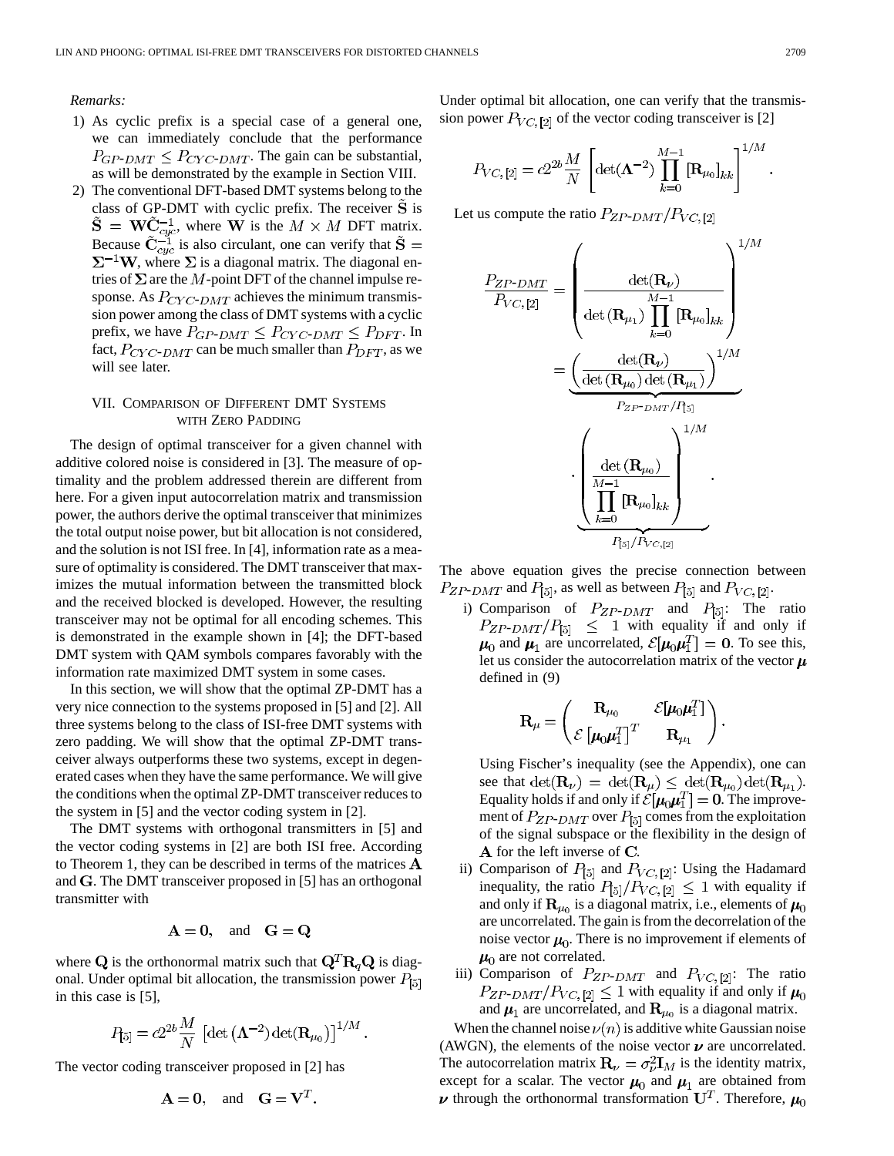## *Remarks:*

- 1) As cyclic prefix is a special case of a general one, we can immediately conclude that the performance  $P_{GP-DMT} \leq P_{CYC-DMT}$ . The gain can be substantial, as will be demonstrated by the example in Section VIII.
- 2) The conventional DFT-based DMT systems belong to the class of GP-DMT with cyclic prefix. The receiver  $S$  is  $\widetilde{\mathbf{S}} = \mathbf{W}\widetilde{\mathbf{C}}_{cyc}^{-1}$ , where **W** is the  $M \times M$  DFT matrix. Because  $\tilde{C}_{cyc}^{-1}$  is also circulant, one can verify that  $\tilde{S} =$  $\Sigma^{-1}$ W, where  $\Sigma$  is a diagonal matrix. The diagonal entries of  $\Sigma$  are the M-point DFT of the channel impulse response. As  $P_{CYC-DMT}$  achieves the minimum transmission power among the class of DMT systems with a cyclic prefix, we have  $P_{GP\text{-}DMT} \leq P_{CYC\text{-}DMT} \leq P_{DFT}$ . In fact,  $P_{CYC-DMT}$  can be much smaller than  $P_{DFT}$ , as we will see later.

# VII. COMPARISON OF DIFFERENT DMT SYSTEMS WITH ZERO PADDING

The design of optimal transceiver for a given channel with additive colored noise is considered in [3]. The measure of optimality and the problem addressed therein are different from here. For a given input autocorrelation matrix and transmission power, the authors derive the optimal transceiver that minimizes the total output noise power, but bit allocation is not considered, and the solution is not ISI free. In [4], information rate as a measure of optimality is considered. The DMT transceiver that maximizes the mutual information between the transmitted block and the received blocked is developed. However, the resulting transceiver may not be optimal for all encoding schemes. This is demonstrated in the example shown in [4]; the DFT-based DMT system with QAM symbols compares favorably with the information rate maximized DMT system in some cases.

In this section, we will show that the optimal ZP-DMT has a very nice connection to the systems proposed in [5] and [2]. All three systems belong to the class of ISI-free DMT systems with zero padding. We will show that the optimal ZP-DMT transceiver always outperforms these two systems, except in degenerated cases when they have the same performance. We will give the conditions when the optimal ZP-DMT transceiver reduces to the system in [5] and the vector coding system in [2].

The DMT systems with orthogonal transmitters in [5] and the vector coding systems in [2] are both ISI free. According to Theorem 1, they can be described in terms of the matrices  $A$ and  $G$ . The DMT transceiver proposed in [5] has an orthogonal transmitter with

$$
A = 0, \quad \text{and} \quad G = Q
$$

where Q is the orthonormal matrix such that  $\mathbf{Q}^T \mathbf{R}_q \mathbf{Q}$  is diagonal. Under optimal bit allocation, the transmission power  $P_{[5]}$ in this case is [5],

$$
P_{\left[\tilde{5}\right]} = c2^{2b} \frac{M}{N} \left[ \det \left( \mathbf{\Lambda}^{-2} \right) \det(\mathbf{R}_{\mu_0}) \right]^{1/M}
$$

The vector coding transceiver proposed in [2] has

$$
A = 0, \text{ and } G = V^T.
$$

Under optimal bit allocation, one can verify that the transmission power  $P_{VC, [2]}$  of the vector coding transceiver is [2]

$$
P_{VC,[2]} = c2^{2b} \frac{M}{N} \left[ \det(\mathbf{\Lambda}^{-2}) \prod_{k=0}^{M-1} [\mathbf{R}_{\mu_0}]_{kk} \right]^{1/M}
$$

Let us compute the ratio  $P_{ZP\text{-}DMT}/P_{VC, [2]}$ 

$$
\frac{P_{ZP\text{-}DMT}}{P_{VC,[2]}} = \left(\frac{\det(\mathbf{R}_{\mu})}{\det(\mathbf{R}_{\mu_1})\prod\limits_{k=0}^{M-1}[\mathbf{R}_{\mu_0}]_{kk}}\right)^{1/M}
$$
\n
$$
= \underbrace{\left(\frac{\det(\mathbf{R}_{\nu})}{\det(\mathbf{R}_{\mu_0})\det(\mathbf{R}_{\mu_1})}\right)^{1/M}}_{P_{ZP\text{-}DMT}/P_{[5]}} \cdot \left(\frac{\det(\mathbf{R}_{\mu_0})}{\prod\limits_{k=0}^{M-1}[\mathbf{R}_{\mu_0}]_{kk}}\right)^{1/M}
$$
\n
$$
\cdot \left(\frac{\det(\mathbf{R}_{\mu_0})}{\prod\limits_{k=0}^{M-1}[\mathbf{R}_{\mu_0}]_{kk}}\right)^{1/N}
$$

The above equation gives the precise connection between  $P_{ZP-DMT}$  and  $P_{[5]}$ , as well as between  $P_{[5]}$  and  $P_{VC,[2]}$ .

i) Comparison of  $P_{ZP\text{-}DMT}$  and  $P_{[5]}$ : The ratio  $P_{ZP\text{-}DMT}/P_{[5]} \leq 1$  with equality if and only if  $\mu_0$  and  $\mu_1$  are uncorrelated,  $\mathcal{E}[\mu_0 \mu_1^T] = 0$ . To see this, let us consider the autocorrelation matrix of the vector  $\mu$ defined in (9)

$$
\mathbf{R}_{\mu} = \begin{pmatrix} \mathbf{R}_{\mu_0} & \mathcal{E}[\mu_0 \mu_1^T] \\ \mathcal{E}[\mu_0 \mu_1^T]^T & \mathbf{R}_{\mu_1} \end{pmatrix}
$$

Using Fischer's inequality (see the Appendix), one can see that  $\det(\mathbf{R}_{\nu}) = \det(\mathbf{R}_{\mu}) \leq \det(\mathbf{R}_{\mu_0}) \det(\mathbf{R}_{\mu_1}).$ Equality holds if and only if  $\mathcal{E}[\mu_0 \mu_1^T] = 0$ . The improvement of  $P_{ZP\text{-}DMT}$  over  $P_{[5]}$  comes from the exploitation of the signal subspace or the flexibility in the design of  $A$  for the left inverse of  $C$ .

- ii) Comparison of  $P_{[5]}$  and  $P_{VC,[2]}$ : Using the Hadamard inequality, the ratio  $P_{[5]}/P_{VC, [2]} \leq 1$  with equality if and only if  $\mathbf{R}_{\mu_0}$  is a diagonal matrix, i.e., elements of  $\mu_0$ are uncorrelated. The gain is from the decorrelation of the noise vector  $\mu_0$ . There is no improvement if elements of  $\mu_0$  are not correlated.
- iii) Comparison of  $P_{ZP\text{-}DMT}$  and  $P_{VC,[2]}$ . The ratio  $P_{ZP\text{-}DMT}/P_{VC,[2]} \leq 1$  with equality if and only if  $\mu_0$ and  $\mu_1$  are uncorrelated, and  $\mathbf{R}_{\mu_0}$  is a diagonal matrix.

When the channel noise  $\nu(n)$  is additive white Gaussian noise (AWGN), the elements of the noise vector  $\nu$  are uncorrelated. The autocorrelation matrix  $\mathbf{R}_{\nu} = \sigma_{\nu}^2 \mathbf{I}_M$  is the identity matrix, except for a scalar. The vector  $\mu_0$  and  $\mu_1$  are obtained from  $\nu$  through the orthonormal transformation  $U^T$ . Therefore,  $\mu_0$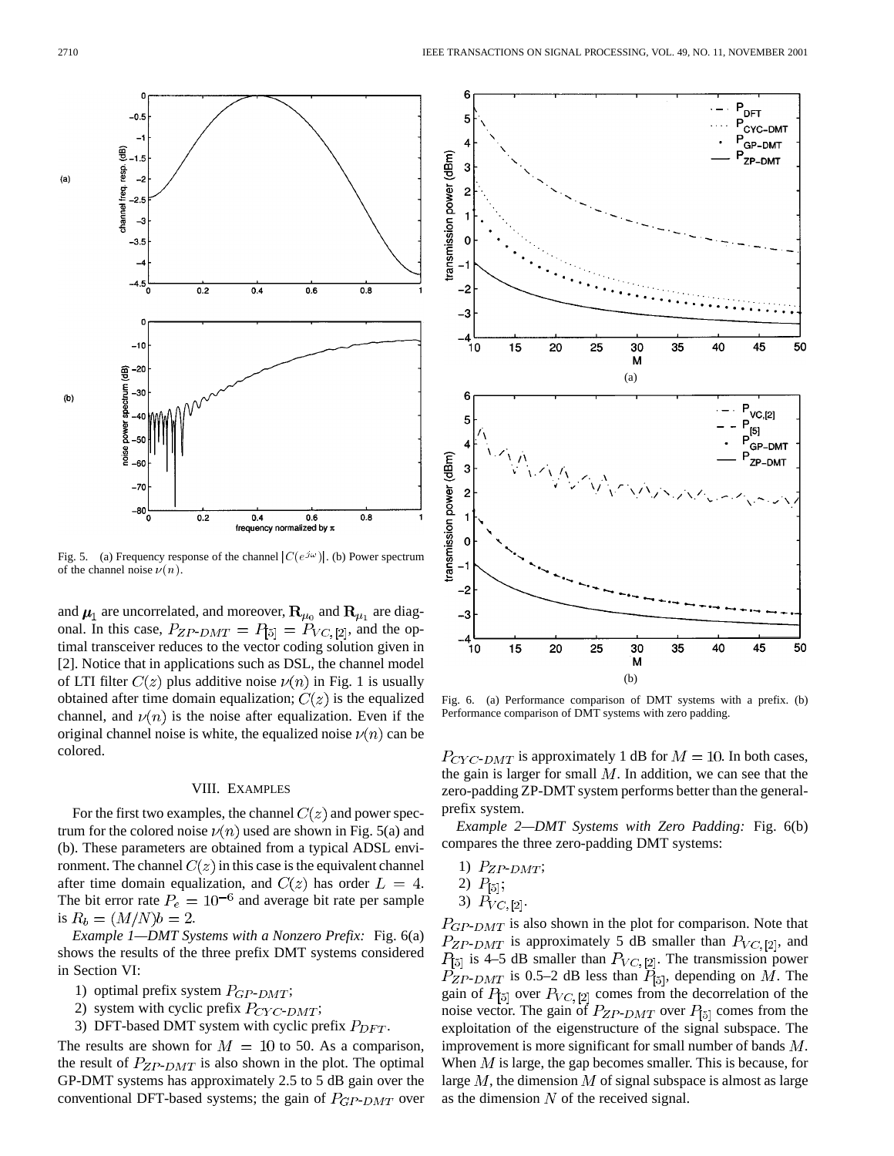

Fig. 5. (a) Frequency response of the channel  $|C(e^{j\omega})|$ . (b) Power spectrum of the channel noise  $\nu(n)$ .

and  $\mu_1$  are uncorrelated, and moreover,  $\mathbf{R}_{\mu_0}$  and  $\mathbf{R}_{\mu_1}$  are diagonal. In this case,  $P_{ZP\text{-}DMT} = P_{[5]} = P_{VC, [2]}$ , and the optimal transceiver reduces to the vector coding solution given in [2]. Notice that in applications such as DSL, the channel model of LTI filter  $C(z)$  plus additive noise  $\nu(n)$  in Fig. 1 is usually obtained after time domain equalization;  $C(z)$  is the equalized channel, and  $\nu(n)$  is the noise after equalization. Even if the original channel noise is white, the equalized noise  $\nu(n)$  can be colored.

#### VIII. EXAMPLES

For the first two examples, the channel  $C(z)$  and power spectrum for the colored noise  $\nu(n)$  used are shown in Fig. 5(a) and (b). These parameters are obtained from a typical ADSL environment. The channel  $C(z)$  in this case is the equivalent channel after time domain equalization, and  $C(z)$  has order  $L = 4$ . The bit error rate  $P_e = 10^{-6}$  and average bit rate per sample is  $R_b = (M/N)b = 2$ .

*Example 1—DMT Systems with a Nonzero Prefix:* Fig. 6(a) shows the results of the three prefix DMT systems considered in Section VI:

- 1) optimal prefix system  $P_{GP-DMT}$ ;
- 2) system with cyclic prefix  $P_{CYC-DMT}$ ;
- 3) DFT-based DMT system with cyclic prefix  $P_{DFT}$ .

The results are shown for  $M = 10$  to 50. As a comparison, the result of  $P_{ZP\text{-}DMT}$  is also shown in the plot. The optimal GP-DMT systems has approximately 2.5 to 5 dB gain over the conventional DFT-based systems; the gain of  $P_{GP-DMT}$  over



Fig. 6. (a) Performance comparison of DMT systems with a prefix. (b) Performance comparison of DMT systems with zero padding.

 $P_{CYC-DMT}$  is approximately 1 dB for  $M = 10$ . In both cases, the gain is larger for small  $M$ . In addition, we can see that the zero-padding ZP-DMT system performs better than the generalprefix system.

*Example 2—DMT Systems with Zero Padding:* Fig. 6(b) compares the three zero-padding DMT systems:

- 1)  $P_{ZP\text{-}DMT}$ ;
- 2)
- 3)  $P_{VC,[2]}$ .

 $P_{GP-DMT}$  is also shown in the plot for comparison. Note that  $P_{ZP\text{-}DMT}$  is approximately 5 dB smaller than  $P_{VC, [2]}$ , and  $P_{[5]}$  is 4–5 dB smaller than  $P_{VC,[2]}$ . The transmission power  $P_{ZP-DMT}$  is 0.5–2 dB less than  $P_{[5]}$ , depending on M. The gain of  $P_{[5]}$  over  $P_{VC,[2]}$  comes from the decorrelation of the noise vector. The gain of  $P_{ZP\text{-}DMT}$  over  $P_{[5]}$  comes from the exploitation of the eigenstructure of the signal subspace. The improvement is more significant for small number of bands  $M$ . When  $M$  is large, the gap becomes smaller. This is because, for large  $M$ , the dimension  $M$  of signal subspace is almost as large as the dimension  $N$  of the received signal.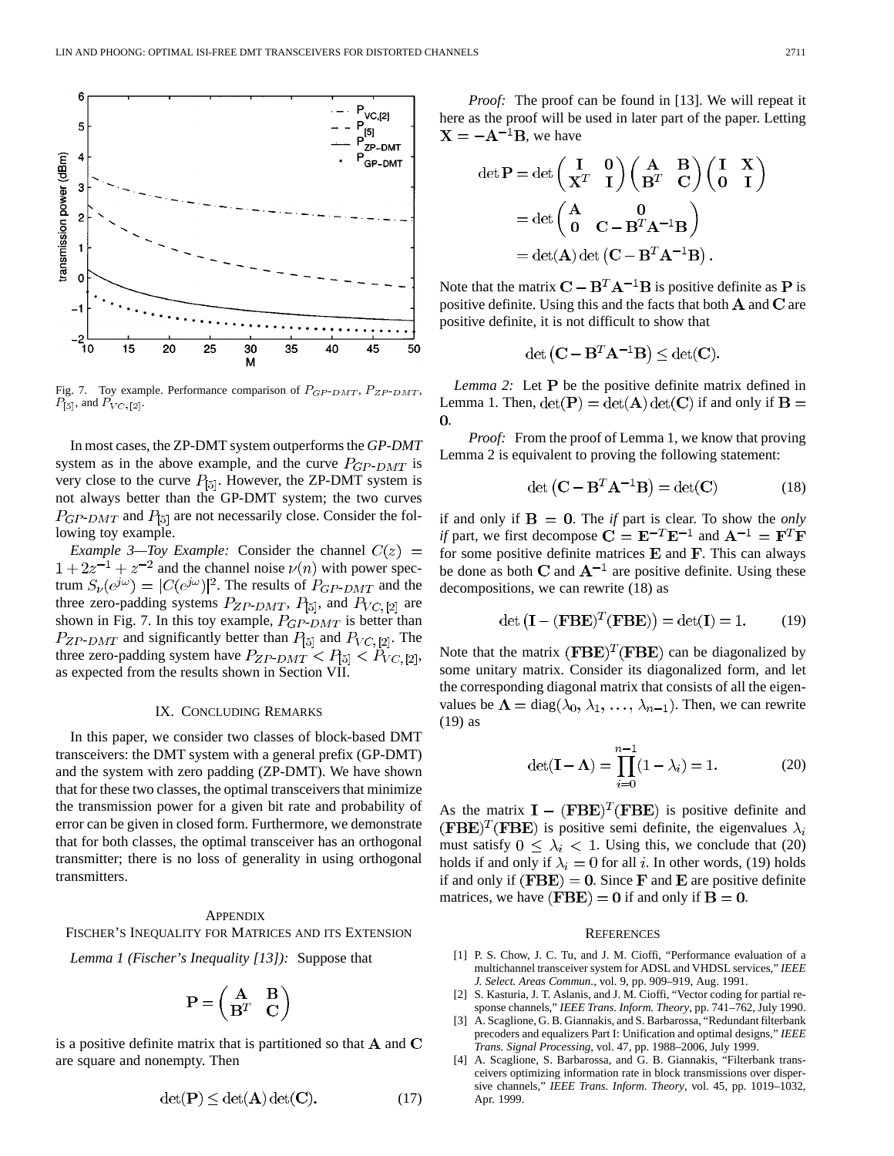

Fig. 7. Toy example. Performance comparison of  $P_{GP-DMT}$ ,  $P_{ZP-DMT}$ ,  $P_{[5]}$ , and  $P_{VC,[2]}$ .

In most cases, the ZP-DMT system outperforms the *GP-DMT* system as in the above example, and the curve  $P_{GP-DMT}$  is very close to the curve  $P_{\lbrack 5]}$ . However, the ZP-DMT system is not always better than the GP-DMT system; the two curves  $P_{GP\text{-}DMT}$  and  $P_{[5]}$  are not necessarily close. Consider the following toy example.

*Example 3—Toy Example:* Consider the channel  $C(z)$  =  $1+2z^{-1}+z^{-2}$  and the channel noise  $\nu(n)$  with power spectrum  $S_{\nu}(e^{j\omega}) = |C(e^{j\omega})|^2$ . The results of  $P_{GP-DMT}$  and the three zero-padding systems  $P_{ZP\text{-}DMT}$ ,  $P_{[5]}$ , and  $P_{VC,[2]}$  are shown in Fig. 7. In this toy example,  $P_{GP-DMT}$  is better than  $P_{ZP-DMT}$  and significantly better than  $P_{[\tilde{o}]}$  and  $P_{VC,[2]}$ . The three zero-padding system have  $P_{ZP\text{-}DMT} < P_{[5]} < P_{VC, [2]}$ , as expected from the results shown in Section VII.

## IX. CONCLUDING REMARKS

In this paper, we consider two classes of block-based DMT transceivers: the DMT system with a general prefix (GP-DMT) and the system with zero padding (ZP-DMT). We have shown that for these two classes, the optimal transceivers that minimize the transmission power for a given bit rate and probability of error can be given in closed form. Furthermore, we demonstrate that for both classes, the optimal transceiver has an orthogonal transmitter; there is no loss of generality in using orthogonal transmitters.

## **APPENDIX**

FISCHER'S INEQUALITY FOR MATRICES AND ITS EXTENSION

*Lemma 1 (Fischer's Inequality [13]):* Suppose that

$$
\mathbf{P} = \left( \begin{matrix} \mathbf{A} & \mathbf{B} \\ \mathbf{B}^T & \mathbf{C} \end{matrix} \right)
$$

is a positive definite matrix that is partitioned so that  $A$  and  $C$ are square and nonempty. Then

$$
\det(\mathbf{P}) \le \det(\mathbf{A}) \det(\mathbf{C}).\tag{17}
$$

*Proof:* The proof can be found in [13]. We will repeat it here as the proof will be used in later part of the paper. Letting  $X = -A^{-1}B$ , we have

$$
\det \mathbf{P} = \det \begin{pmatrix} \mathbf{I} & \mathbf{0} \\ \mathbf{X}^T & \mathbf{I} \end{pmatrix} \begin{pmatrix} \mathbf{A} & \mathbf{B} \\ \mathbf{B}^T & \mathbf{C} \end{pmatrix} \begin{pmatrix} \mathbf{I} & \mathbf{X} \\ \mathbf{0} & \mathbf{I} \end{pmatrix}
$$

$$
= \det \begin{pmatrix} \mathbf{A} & \mathbf{0} \\ \mathbf{0} & \mathbf{C} - \mathbf{B}^T \mathbf{A}^{-1} \mathbf{B} \end{pmatrix}
$$

$$
= \det(\mathbf{A}) \det (\mathbf{C} - \mathbf{B}^T \mathbf{A}^{-1} \mathbf{B}).
$$

Note that the matrix  $\mathbf{C} - \mathbf{B}^T \mathbf{A}^{-1} \mathbf{B}$  is positive definite as P is positive definite. Using this and the facts that both  $A$  and  $C$  are positive definite, it is not difficult to show that

$$
\det\left(\mathbf{C} - \mathbf{B}^T \mathbf{A}^{-1} \mathbf{B}\right) \leq \det(\mathbf{C}).
$$

*Lemma 2:* Let  $P$  be the positive definite matrix defined in Lemma 1. Then,  $\det(\mathbf{P}) = \det(\mathbf{A}) \det(\mathbf{C})$  if and only if  $\mathbf{B} =$  $\mathbf{0}$ .

*Proof:* From the proof of Lemma 1, we know that proving Lemma 2 is equivalent to proving the following statement:

$$
let (C – BTA-1B) = det(C)
$$
 (18)

if and only if  $B = 0$ . The *if* part is clear. To show the *only if* part, we first decompose  $\mathbf{C} = \mathbf{E}^{-T} \mathbf{E}^{-1}$  and  $\mathbf{A}^{-1} = \mathbf{F}^{T} \mathbf{F}$ for some positive definite matrices  $E$  and  $F$ . This can always be done as both C and  $A^{-1}$  are positive definite. Using these decompositions, we can rewrite (18) as

$$
\det(\mathbf{I} - (\mathbf{FBE})^T(\mathbf{FBE})) = \det(\mathbf{I}) = 1.
$$
 (19)

Note that the matrix  $(\mathbf{FBE})^T(\mathbf{FBE})$  can be diagonalized by some unitary matrix. Consider its diagonalized form, and let the corresponding diagonal matrix that consists of all the eigenvalues be  $\Lambda = \text{diag}(\lambda_0, \lambda_1, \dots, \lambda_{n-1})$ . Then, we can rewrite (19) as

$$
\det(\mathbf{I} - \mathbf{\Lambda}) = \prod_{i=0}^{n-1} (1 - \lambda_i) = 1.
$$
 (20)

As the matrix  $\mathbf{I} - (\mathbf{FBE})^T(\mathbf{FBE})$  is positive definite and  $(\mathbf{FBE})^T(\mathbf{FBE})$  is positive semi definite, the eigenvalues  $\lambda_i$ must satisfy  $0 \leq \lambda_i < 1$ . Using this, we conclude that (20) holds if and only if  $\lambda_i = 0$  for all i. In other words, (19) holds if and only if  $(FBE) = 0$ . Since **F** and **E** are positive definite matrices, we have  $(FBE) = 0$  if and only if  $B = 0$ .

## **REFERENCES**

- [1] P. S. Chow, J. C. Tu, and J. M. Cioffi, "Performance evaluation of a multichannel transceiver system for ADSL and VHDSL services," *IEEE J. Select. Areas Commun.*, vol. 9, pp. 909–919, Aug. 1991.
- [2] S. Kasturia, J. T. Aslanis, and J. M. Cioffi, "Vector coding for partial response channels," *IEEE Trans. Inform. Theory*, pp. 741–762, July 1990.
- [3] A. Scaglione, G. B. Giannakis, and S. Barbarossa, "Redundant filterbank precoders and equalizers Part I: Unification and optimal designs," *IEEE Trans. Signal Processing*, vol. 47, pp. 1988–2006, July 1999.
- [4] A. Scaglione, S. Barbarossa, and G. B. Giannakis, "Filterbank transceivers optimizing information rate in block transmissions over dispersive channels," *IEEE Trans. Inform. Theory*, vol. 45, pp. 1019–1032, Apr. 1999.